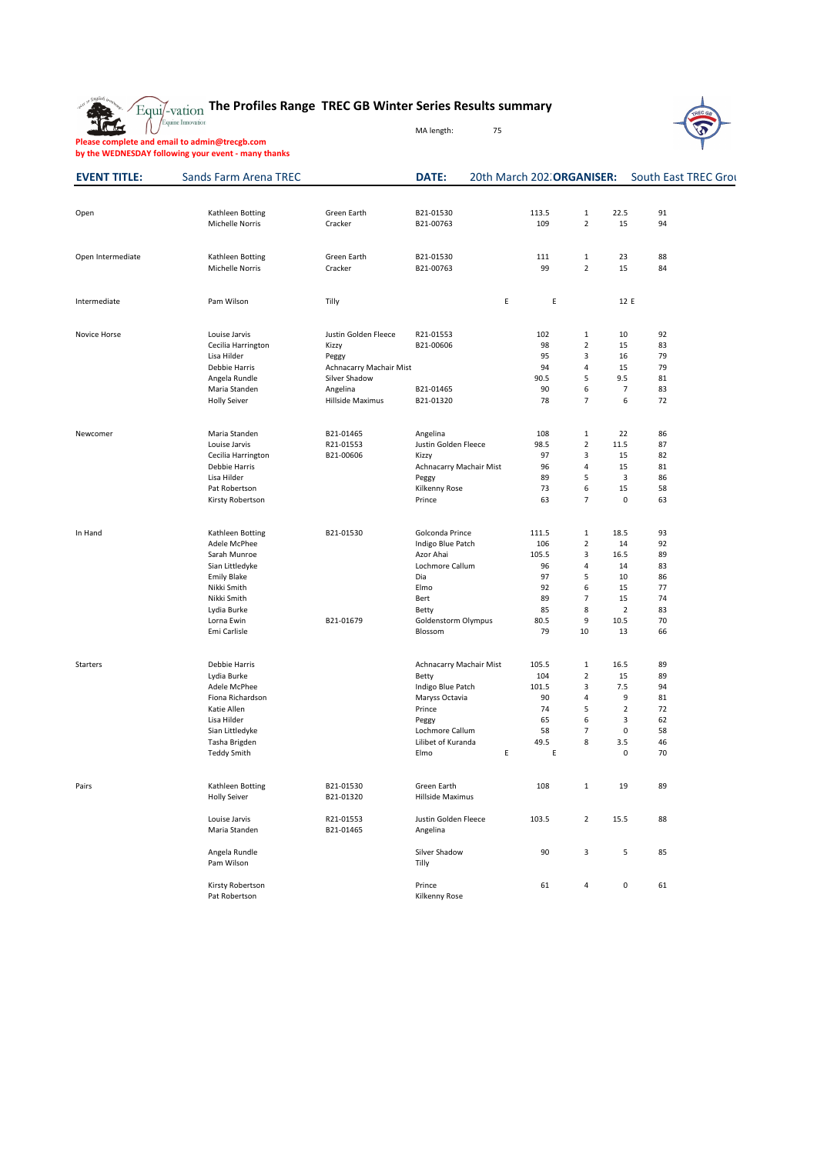

# **The Profiles Range TREC GB Winter Series Results summary**



Equine Innovation

MA length: 75

**Please complete and email to admin@trecgb.com**

**by the WEDNESDAY following your event - many thanks**

| <b>EVENT TITLE:</b> | <b>Sands Farm Arena TREC</b>      |                         | <b>DATE:</b>                     |   |       | 20th March 202. ORGANISER: |                | <b>South East TREC Grond</b> |  |
|---------------------|-----------------------------------|-------------------------|----------------------------------|---|-------|----------------------------|----------------|------------------------------|--|
|                     |                                   |                         |                                  |   |       |                            |                |                              |  |
| Open                | Kathleen Botting                  | Green Earth             | B21-01530                        |   | 113.5 | $\mathbf{1}$               | 22.5           | 91                           |  |
|                     | <b>Michelle Norris</b>            | Cracker                 | B21-00763                        |   | 109   | $\overline{2}$             | 15             | 94                           |  |
| Open Intermediate   | Kathleen Botting                  | Green Earth             | B21-01530                        |   | 111   | $\mathbf{1}$               | 23             | 88                           |  |
|                     | Michelle Norris                   | Cracker                 | B21-00763                        |   | 99    | $\overline{2}$             | 15             | 84                           |  |
| Intermediate        | Pam Wilson                        | Tilly                   |                                  | E | E     |                            | 12 E           |                              |  |
| Novice Horse        | Louise Jarvis                     | Justin Golden Fleece    | R21-01553                        |   | 102   | $\mathbf{1}$               | 10             | 92                           |  |
|                     | Cecilia Harrington                | Kizzy                   | B21-00606                        |   | 98    | $\overline{2}$             | 15             | 83                           |  |
|                     | Lisa Hilder                       | Peggy                   |                                  |   | 95    | 3                          | 16             | 79                           |  |
|                     | Debbie Harris                     | Achnacarry Machair Mist |                                  |   | 94    | 4                          | 15             | 79                           |  |
|                     | Angela Rundle                     | Silver Shadow           |                                  |   | 90.5  | 5                          | 9.5            | 81                           |  |
|                     | Maria Standen                     | Angelina                | B21-01465                        |   | 90    | 6                          | $\overline{7}$ | 83                           |  |
|                     | <b>Holly Seiver</b>               | Hillside Maximus        | B21-01320                        |   | 78    | $\overline{7}$             | 6              | 72                           |  |
| Newcomer            | Maria Standen                     | B21-01465               | Angelina                         |   | 108   | $\mathbf{1}$               | 22             | 86                           |  |
|                     | Louise Jarvis                     | R21-01553               | Justin Golden Fleece             |   | 98.5  | $\overline{2}$             | 11.5           | 87                           |  |
|                     | Cecilia Harrington                | B21-00606               | Kizzy                            |   | 97    | 3                          | 15             | 82                           |  |
|                     | Debbie Harris                     |                         | Achnacarry Machair Mist          |   | 96    | 4                          | 15             | 81                           |  |
|                     | Lisa Hilder                       |                         | Peggy                            |   | 89    | 5                          | 3              | 86                           |  |
|                     | Pat Robertson                     |                         | Kilkenny Rose                    |   | 73    | 6                          | 15             | 58                           |  |
|                     | Kirsty Robertson                  |                         | Prince                           |   | 63    | $\overline{7}$             | 0              | 63                           |  |
| In Hand             | Kathleen Botting                  | B21-01530               | Golconda Prince                  |   | 111.5 | $\mathbf{1}$               | 18.5           | 93                           |  |
|                     | Adele McPhee                      |                         | Indigo Blue Patch                |   | 106   | $\overline{2}$             | 14             | 92                           |  |
|                     | Sarah Munroe                      |                         | Azor Ahai                        |   | 105.5 | 3                          | 16.5           | 89                           |  |
|                     | Sian Littledyke                   |                         | Lochmore Callum                  |   | 96    | 4                          | 14             | 83                           |  |
|                     | <b>Emily Blake</b>                |                         | Dia                              |   | 97    | 5                          | 10             | 86                           |  |
|                     | Nikki Smith                       |                         | Elmo                             |   | 92    | 6                          | 15             | 77                           |  |
|                     | Nikki Smith                       |                         | Bert                             |   | 89    | $\overline{7}$             | 15             | 74                           |  |
|                     | Lydia Burke                       |                         | Betty                            |   | 85    | 8                          | $\overline{2}$ | 83                           |  |
|                     | Lorna Ewin                        | B21-01679               | Goldenstorm Olympus              |   | 80.5  | 9                          | 10.5           | 70                           |  |
|                     | Emi Carlisle                      |                         | Blossom                          |   | 79    | 10                         | 13             | 66                           |  |
| <b>Starters</b>     | Debbie Harris                     |                         | Achnacarry Machair Mist          |   | 105.5 | $\mathbf{1}$               | 16.5           | 89                           |  |
|                     | Lydia Burke                       |                         | Betty                            |   | 104   | $\overline{2}$             | 15             | 89                           |  |
|                     | Adele McPhee                      |                         | Indigo Blue Patch                |   | 101.5 | $\ensuremath{\mathsf{3}}$  | 7.5            | 94                           |  |
|                     | Fiona Richardson                  |                         | Maryss Octavia                   |   | 90    | $\pmb{4}$                  | 9              | 81                           |  |
|                     | Katie Allen                       |                         | Prince                           |   | 74    | 5                          | $\overline{2}$ | 72                           |  |
|                     | Lisa Hilder                       |                         | Peggy                            |   | 65    | 6                          | 3              | 62                           |  |
|                     | Sian Littledyke                   |                         | Lochmore Callum                  |   | 58    | $\overline{7}$             | $\mathbf 0$    | 58                           |  |
|                     | Tasha Brigden                     |                         | Lilibet of Kuranda               |   | 49.5  | 8                          | 3.5            | 46                           |  |
|                     | <b>Teddy Smith</b>                |                         | Elmo                             | E | E     |                            | 0              | 70                           |  |
| Pairs               | Kathleen Botting                  | B21-01530               | Green Earth                      |   | 108   | $\mathbf{1}$               | 19             | 89                           |  |
|                     | <b>Holly Seiver</b>               | B21-01320               | <b>Hillside Maximus</b>          |   |       |                            |                |                              |  |
|                     | Louise Jarvis<br>Maria Standen    | R21-01553<br>B21-01465  | Justin Golden Fleece<br>Angelina |   | 103.5 | $\overline{2}$             | 15.5           | 88                           |  |
|                     | Angela Rundle                     |                         | Silver Shadow                    |   | 90    | 3                          | 5              | 85                           |  |
|                     | Pam Wilson                        |                         | Tilly                            |   |       |                            |                |                              |  |
|                     | Kirsty Robertson<br>Pat Robertson |                         | Prince<br>Kilkenny Rose          |   | 61    | $\overline{4}$             | $\mathbf 0$    | 61                           |  |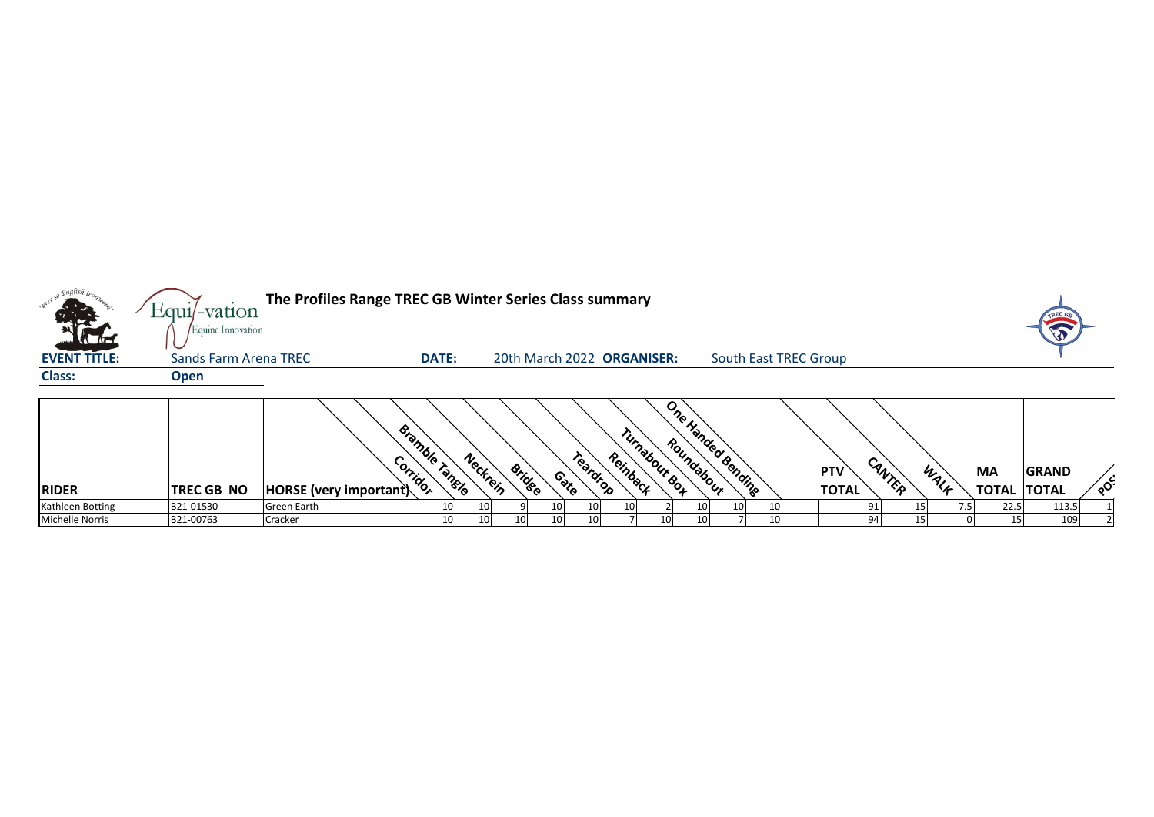| <b>Victor</b>                    | The Profiles Range TREC GB Winter Series Class summary<br>$Equi$ -vation<br>Equine Innovation<br><b>DATE:</b><br><b>South East TREC Group</b><br><b>Sands Farm Arena TREC</b><br>20th March 2022 ORGANISER: |                                          |                                               |          |               |                    |                           |     |                          |  |                            |        |      |                                         |                       |    |
|----------------------------------|-------------------------------------------------------------------------------------------------------------------------------------------------------------------------------------------------------------|------------------------------------------|-----------------------------------------------|----------|---------------|--------------------|---------------------------|-----|--------------------------|--|----------------------------|--------|------|-----------------------------------------|-----------------------|----|
| <b>EVENT TITLE:</b>              |                                                                                                                                                                                                             |                                          |                                               |          |               |                    |                           |     |                          |  |                            |        |      |                                         |                       |    |
| <b>Class:</b>                    | <b>Open</b>                                                                                                                                                                                                 |                                          |                                               |          |               |                    |                           |     |                          |  |                            |        |      |                                         |                       |    |
| <b>RIDER</b><br>Kathleen Botting | <b>TREC GB NO</b><br>B21-01530                                                                                                                                                                              | $ HORSE$ (very important)<br>Green Earth | Bramble Tangle<br>Corrigor<br>10 <sub>l</sub> | Neckrein | <b>Bridge</b> | Teardrop<br>Contro | Turnabout Bot<br>Reinback | 10I | One Handed Bending<br>10 |  | <b>PTV</b><br><b>TOTAL</b> | CANTER | WALF | <b>MA</b><br><b>TOTAL TOTAL</b><br>22.5 | <b>GRAND</b><br>113.5 | ໌ດ |





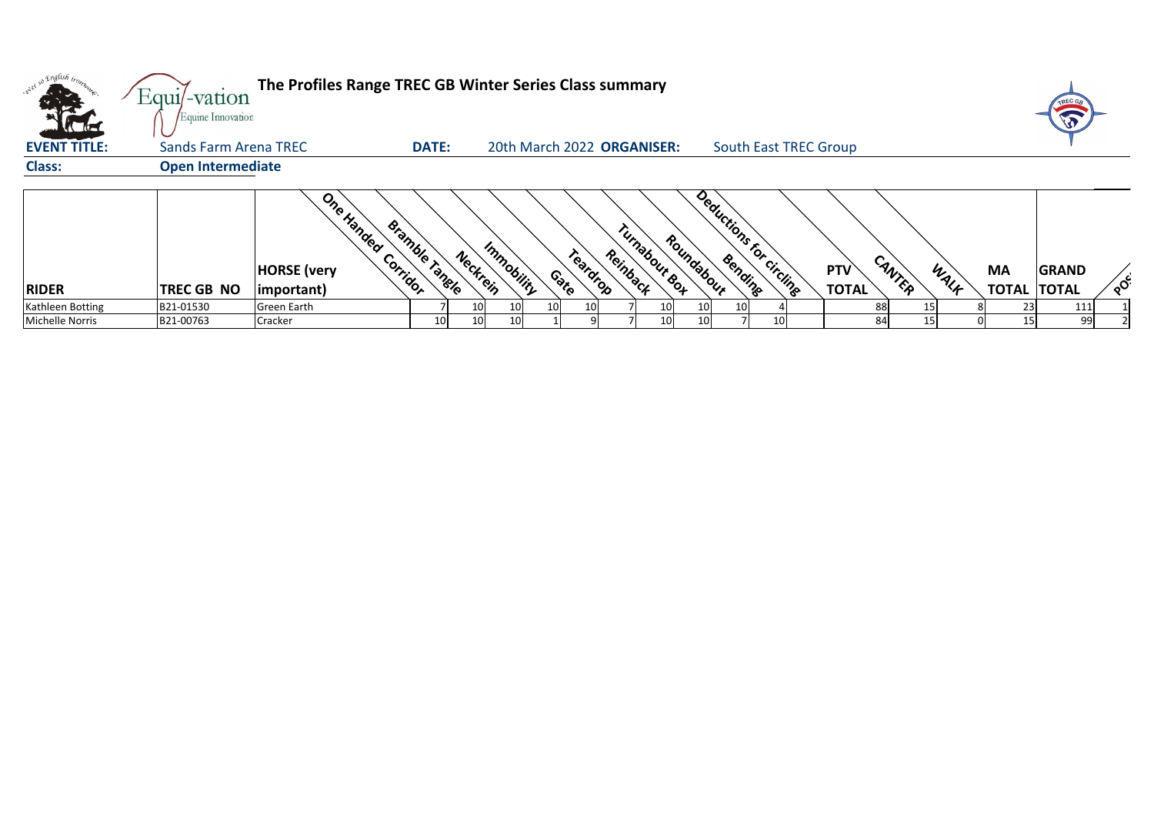| The Profiles Range TREC GB Winter Series Class summary<br>$Equi$ -vation<br>Equine Innovation<br><b>All die</b> |                              |                                                 |                            |                        |                                |               |                                       |                              |                            |                |                                 |              |        |
|-----------------------------------------------------------------------------------------------------------------|------------------------------|-------------------------------------------------|----------------------------|------------------------|--------------------------------|---------------|---------------------------------------|------------------------------|----------------------------|----------------|---------------------------------|--------------|--------|
| <b>EVENT TITLE:</b>                                                                                             | <b>Sands Farm Arena TREC</b> |                                                 | <b>DATE:</b>               |                        | 20th March 2022 ORGANISER:     |               |                                       | <b>South East TREC Group</b> |                            |                |                                 |              |        |
| <b>Class:</b>                                                                                                   | <b>Open Intermediate</b>     |                                                 |                            |                        |                                |               |                                       |                              |                            |                |                                 |              |        |
| <b>RIDER</b>                                                                                                    | TREC GB NO                   | One Handed<br><b>HORSE</b> (very<br>(important) | Bramble Tangle<br>Corridor | Immobility<br>Neckrein | Reinback<br>Teardrop<br>Contro | Turnabour Bot | Deductions for circling<br>Roundabour |                              | <b>PTV</b><br><b>TOTAL</b> | CANTER<br>WALK | <b>MA</b><br><b>TOTAL TOTAL</b> | <b>GRAND</b> | $\sim$ |
| Kathleen Botting                                                                                                | B21-01530                    | Green Earth                                     |                            | 10<br>10 <sub>l</sub>  | 10 <sup>1</sup><br>10I         | 10            | 10 <sup>1</sup><br>10I                |                              | 88                         |                | 23                              | 111          |        |
| Michelle Norris                                                                                                 | B21-00763                    | <b>Cracker</b>                                  | 10 <sub>1</sub>            | 10<br>10 <sup>1</sup>  |                                | 10            | 10                                    | 10                           | 84                         | 15             | 15 <sub>l</sub>                 | 99           |        |



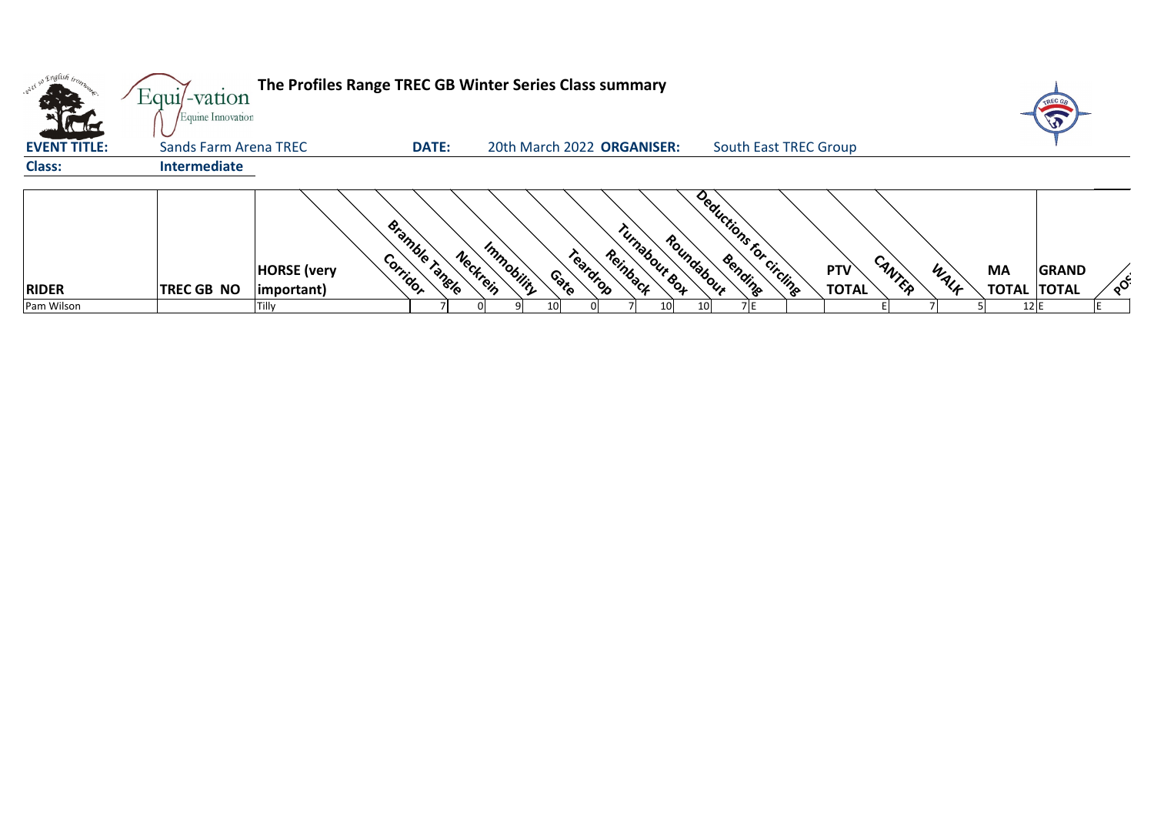| The Profiles Range TREC GB Winter Series Class summary<br>Equil-vation<br>Equine Innovation                                                                                                                                                                                                                  |                                                                           |
|--------------------------------------------------------------------------------------------------------------------------------------------------------------------------------------------------------------------------------------------------------------------------------------------------------------|---------------------------------------------------------------------------|
| <b>EVENT TITLE:</b><br><b>Sands Farm Arena TREC</b><br><b>DATE:</b><br>20th March 2022 ORGANISER:<br><b>South East TREC Group</b>                                                                                                                                                                            |                                                                           |
| <b>Class:</b><br><b>Intermediate</b>                                                                                                                                                                                                                                                                         |                                                                           |
| Deductions for circling<br>Bramble Tangle<br>Turnabour Box<br>Roundabour<br>Immobility<br>Neckrein<br>Teardrop<br>Reinback<br>Corridor<br>CANTEP<br><b>PTV</b><br><b>HORSE</b> (very<br>Contro<br><b>TOTAL</b><br><b>RIDER</b><br><b>TREC GB NO</b><br> important)<br>Pam Wilson<br>10 <sup>1</sup><br>Tilly | <b>MA</b><br>WALK<br><b>GRAND</b><br><b>TOTAL</b><br><b>TOTAL</b><br>12 E |



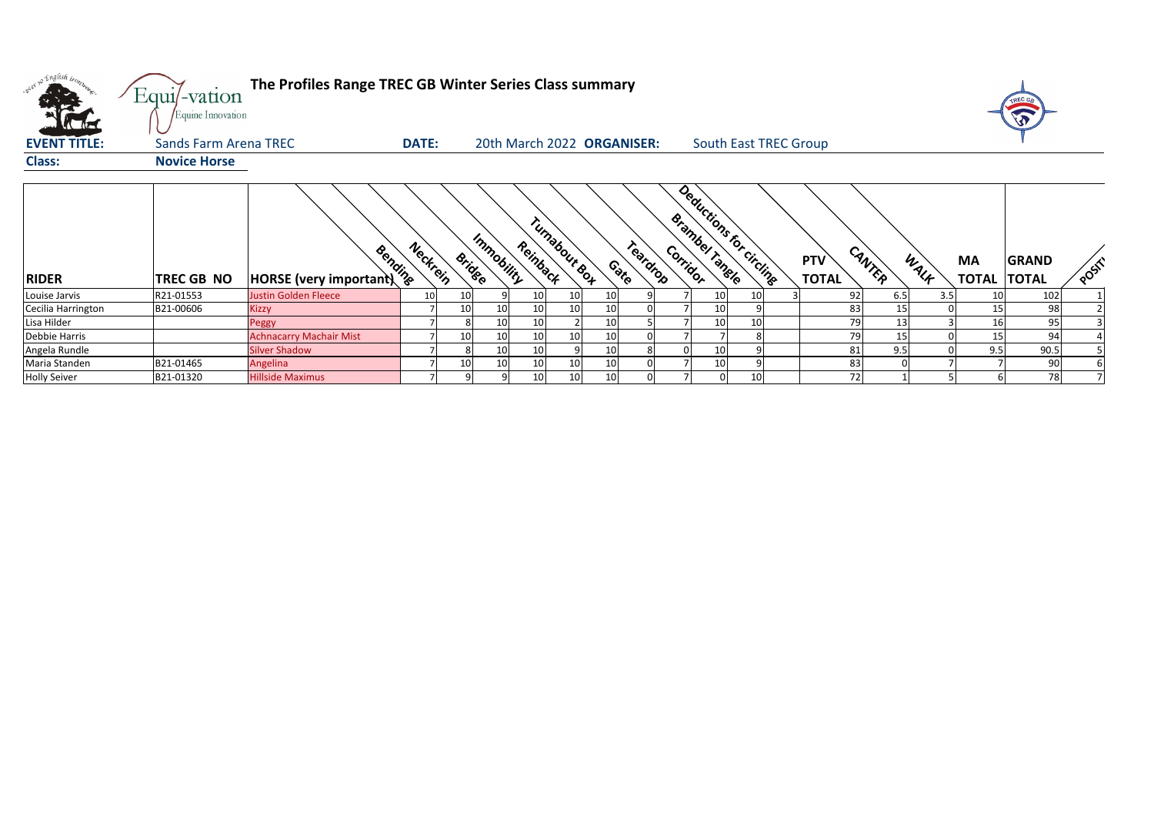

| onel so English trom.<br><b>EVENT TITLE:</b> | Equi/-vation<br>Equine Innovation<br><b>Sands Farm Arena TREC</b> | The Profiles Range TREC GB Winter Series Class summary | <b>DATE:</b> |                 |                 |                           | 20th March 2022 ORGANISER: |                    |                            |    | <b>South East TREC Group</b> |                            |        |      |                           |                              |      |
|----------------------------------------------|-------------------------------------------------------------------|--------------------------------------------------------|--------------|-----------------|-----------------|---------------------------|----------------------------|--------------------|----------------------------|----|------------------------------|----------------------------|--------|------|---------------------------|------------------------------|------|
| <b>Class:</b>                                | <b>Novice Horse</b>                                               |                                                        |              |                 |                 |                           |                            |                    |                            |    |                              |                            |        |      |                           |                              |      |
| <b>RIDER</b>                                 | <b>TREC GB NO</b>                                                 | <b>Remains 1989</b><br>HORSE (very important) 1/8      | Neckrein     | <b>Bridge</b>   | Immobility      | Turnabour Bot<br>Reinback |                            | Teardrop<br>Contro | Brambel Tangle<br>Corridor |    | Deductions for circling      | <b>PTV</b><br><b>TOTAL</b> | CANTER | WALK | <b>MA</b><br><b>TOTAL</b> | <b>GRAND</b><br><b>TOTAL</b> | POST |
| Louise Jarvis                                | R21-01553                                                         | Justin Golden Fleece                                   | 10           | 10              |                 | 10                        | 10<br>10                   |                    |                            | 10 | 10                           | 92                         | 6.5    | 3.5  | 10                        | 102                          |      |
| Cecilia Harrington                           | B21-00606                                                         | <b>Kizzy</b>                                           |              | 10 <sub>1</sub> | 10 <sub>l</sub> | 10 <sup>1</sup>           | 10<br>10 <sup>1</sup>      |                    |                            | 10 |                              | 83                         | 15     |      | 15                        | 98                           |      |
| Lisa Hilder                                  |                                                                   | Peggy                                                  |              |                 | 10              | 10                        | 10                         |                    |                            | 10 | 10                           | 79                         | 13     |      | 16                        | 95                           |      |
| Debbie Harris                                |                                                                   | <b>Achnacarry Machair Mist</b>                         |              | 10              | 10 <sub>l</sub> | 10                        | 10<br>10                   |                    |                            |    |                              | 79                         | 15     |      | 15                        | 94                           |      |
| Angela Rundle                                |                                                                   | <b>Silver Shadow</b>                                   |              |                 | 10              | 10                        | 10                         |                    |                            | 10 |                              | 81                         | 9.5    |      | 9.5                       | 90.5                         |      |
| Maria Standen                                | B21-01465                                                         | Angelina                                               |              | 10              | 10 <sub>l</sub> | 10                        | 10<br>10 <sup>1</sup>      |                    |                            | 10 |                              | 83                         |        |      |                           | 90                           |      |
| <b>Holly Seiver</b>                          | B21-01320                                                         | <b>Hillside Maximus</b>                                |              |                 |                 | 10 <sup>1</sup>           | 10<br>10 <sup>1</sup>      |                    |                            |    | 10                           | 72                         |        |      |                           | 78                           |      |



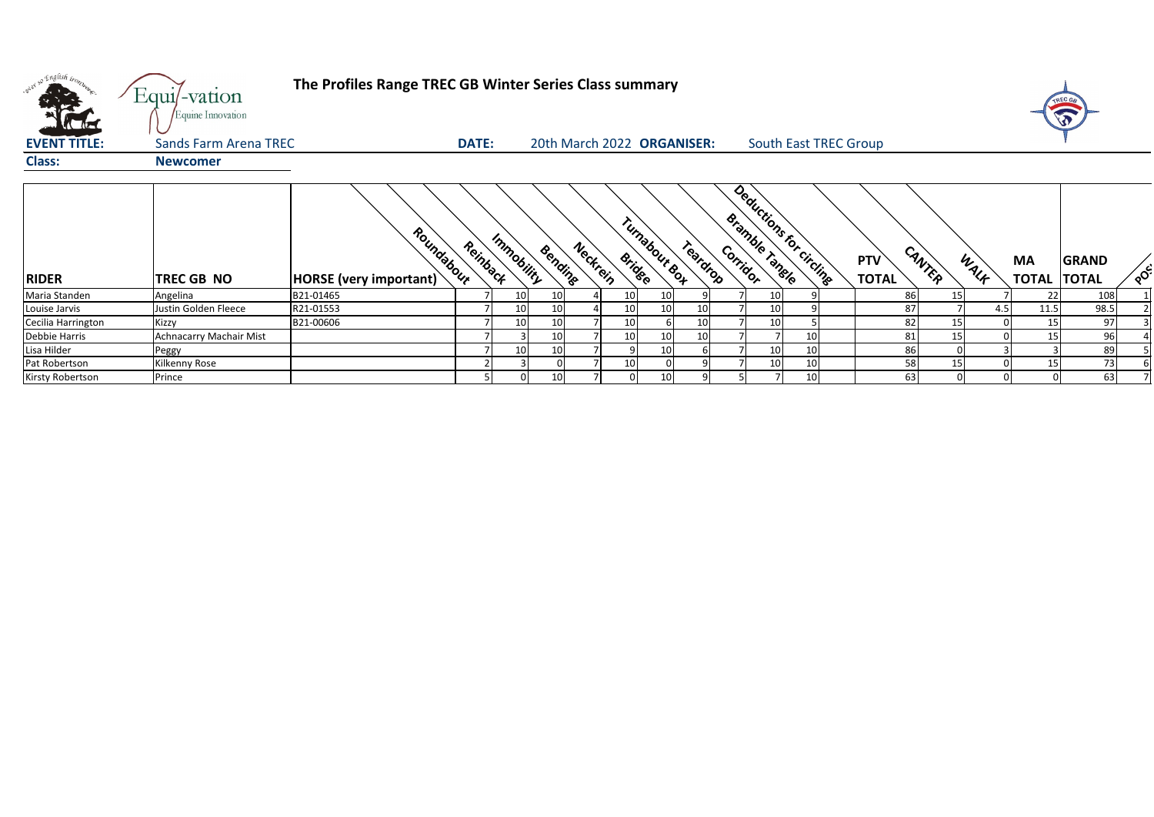| Into C | <b>PTV</b>   | CANTER | WALK | <b>MA</b>    | <b>GRAND</b> | POC'           |
|--------|--------------|--------|------|--------------|--------------|----------------|
|        | <b>TOTAL</b> |        |      | <b>TOTAL</b> | <b>TOTAL</b> |                |
|        | 86           | 15     |      | 22           | 108          | 1              |
|        | 87           | 7      | 4.5  | 11.5         | 98.5         | $\overline{2}$ |
|        | 82           | 15     | 0    | 15           | 97           | 3              |
|        | 81           | 15     | 0    | 15           | 96           | 4              |
|        | 86           | 0      | 3    | 3            | 89           | 5              |
|        | 58           | 15     | 0    | 15           | 73           | 6              |
|        | 63           | 0      | 0    | 0            | 63           | 7              |

| over so English trop    | Equi/-vation<br>Equine Innovation | The Profiles Range TREC GB Winter Series Class summary |              |            |                 |                           |               |                            |                 |                         |                            |                 |      |                                 |              |    |
|-------------------------|-----------------------------------|--------------------------------------------------------|--------------|------------|-----------------|---------------------------|---------------|----------------------------|-----------------|-------------------------|----------------------------|-----------------|------|---------------------------------|--------------|----|
| <b>EVENT TITLE:</b>     | <b>Sands Farm Arena TREC</b>      |                                                        | <b>DATE:</b> |            |                 |                           |               | 20th March 2022 ORGANISER: |                 | South East TREC Group   |                            |                 |      |                                 |              |    |
| <b>Class:</b>           | <b>Newcomer</b>                   |                                                        |              |            |                 |                           |               |                            |                 |                         |                            |                 |      |                                 |              |    |
| <b>RIDER</b>            | TREC GB NO                        | Roundabour<br>HORSE (very important)                   | Reinback     | Immobility | Bendine         | Neckrein<br><b>Bridge</b> | Turnabout Bot | Teardrop<br>Corridor       | Bramble Tangle  | Deductions for circling | <b>PTV</b><br><b>TOTAL</b> | CANTER          | WALK | <b>MA</b><br><b>TOTAL TOTAL</b> | <b>GRAND</b> | ໌ດ |
| Maria Standen           | Angelina                          | B21-01465                                              |              | 10         | 10              | 10                        | 10            |                            | 10 <sup>1</sup> |                         | 86                         | 15              |      | 22                              | 108          |    |
| Louise Jarvis           | Justin Golden Fleece              | R21-01553                                              |              |            | 10              |                           | 10            | 10 <sup>1</sup>            | 10              |                         | 87                         |                 | 4.5  | 11.5                            | 98.5         |    |
| Cecilia Harrington      | Kizzy                             | B21-00606                                              |              | 10         | 10              | 10                        |               | 10                         | 10 <sup>1</sup> |                         | 82                         | 15              |      | 15                              | 97           |    |
| Debbie Harris           | Achnacarry Machair Mist           |                                                        |              |            | 10 <sub>l</sub> |                           | 10            | 10                         |                 | 10                      | 81                         | 15              |      | 15                              | 96           |    |
| Lisa Hilder             | Peggy                             |                                                        |              |            | 10              |                           | 10            |                            | 10              | 10                      | 86                         |                 |      |                                 | 89           |    |
| Pat Robertson           | Kilkenny Rose                     |                                                        |              |            |                 |                           |               |                            | 10 <sup>1</sup> | 10                      | 58                         | 15 <sub>1</sub> |      | 15                              | 73           |    |
| <b>Kirsty Robertson</b> | Prince                            |                                                        |              |            | 10 <sup>1</sup> |                           | 10            |                            |                 | 10                      | 63                         |                 |      |                                 | 63           |    |



## Sands Farm Trec Group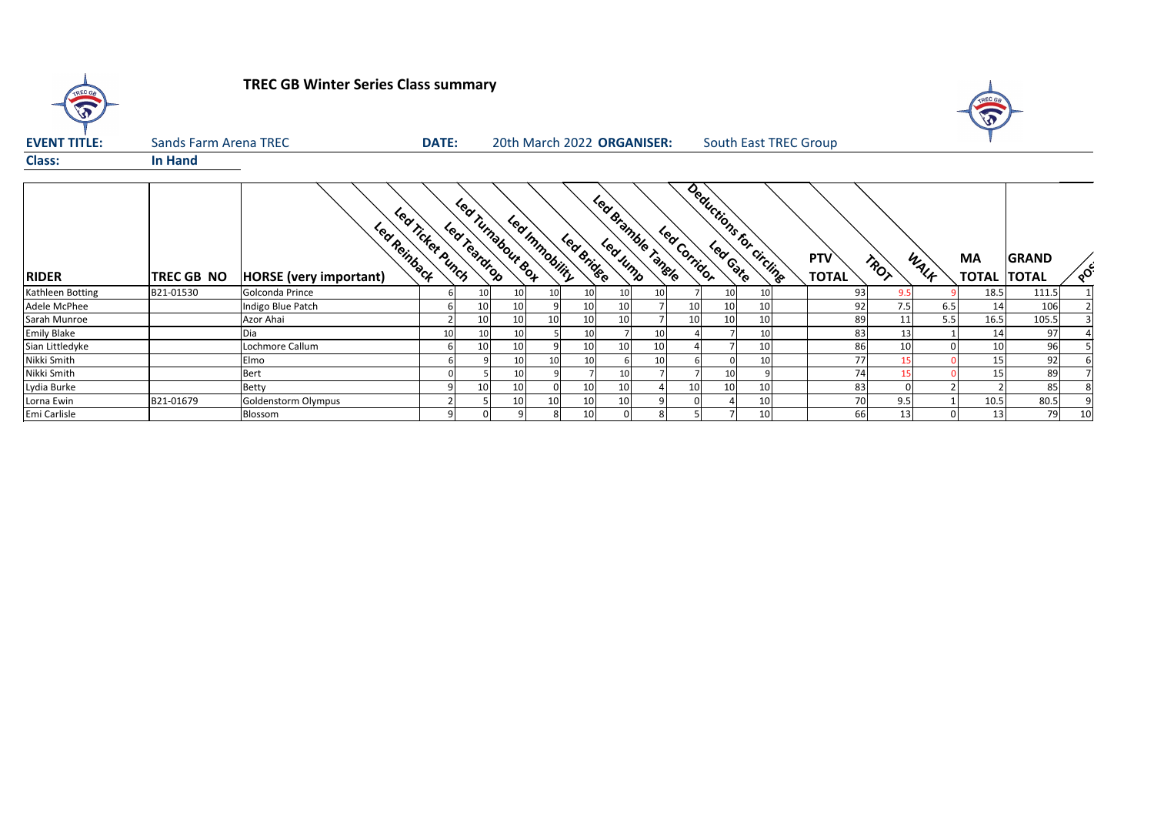

# **TREC GB Winter Series Class summary**

| <b>EVENT TITLE:</b> | <b>Sands Farm Arena TREC</b> |                                               |                  | <b>DATE:</b>                      |                 | 20th March 2022 ORGANISER: |                 |          |                    |              |    | <b>South East TREC Group</b> |                            |      |      |                                 |              |          |
|---------------------|------------------------------|-----------------------------------------------|------------------|-----------------------------------|-----------------|----------------------------|-----------------|----------|--------------------|--------------|----|------------------------------|----------------------------|------|------|---------------------------------|--------------|----------|
| <b>Class:</b>       | <b>In Hand</b>               |                                               |                  |                                   |                 |                            |                 |          |                    |              |    |                              |                            |      |      |                                 |              |          |
| <b>RIDER</b>        | <b>TREC GB NO</b>            | Led Reinback<br><b>HORSE</b> (very important) | Led Ticket Punch | Lea Turnabour Box<br>Lea Teardrop |                 | Led Immobility             | Led Bridge      | Led Jump | Led Bramble Tangle | Led Corridor |    | Deductions for circling      | <b>PTV</b><br><b>TOTAL</b> | TROT | WALK | <b>MA</b><br><b>TOTAL TOTAL</b> | <b>GRAND</b> | $\delta$ |
| Kathleen Botting    | B21-01530                    | Golconda Prince                               |                  |                                   | 10              | 10                         | 10              |          |                    |              | 10 | 10                           | 93                         | 9.5  |      | 18.5                            | 111.5        |          |
| Adele McPhee        |                              | Indigo Blue Patch                             |                  | 10                                | 10              |                            | 10              |          |                    | 10I          | 10 |                              | 92                         | 7.5  | 6.5  | 14                              | 106          |          |
| Sarah Munroe        |                              | Azor Ahai                                     |                  | 10                                | 10 <sub>1</sub> | 10                         | 10              |          |                    | 10           | 10 | 10                           | 89                         | 11   | 5.5  | 16.5                            | 105.5        |          |
| Emily Blake         |                              | Dia                                           |                  |                                   | 10              |                            | 10 <sup>1</sup> |          |                    |              |    | 10                           | 83                         | 13   |      | 14                              | 97           |          |
| Sian Littledyke     |                              | Lochmore Callum                               |                  | 10                                | 10              |                            | 10              | 10       | 10                 |              |    | 10                           | 86                         | 10   |      | 10                              | 96           |          |
| Nikki Smith         |                              | Elmo                                          |                  |                                   | 10              |                            | 10 <sup>1</sup> |          |                    |              |    | 10                           | 77                         |      |      | 15                              | 92           |          |
| Nikki Smith         |                              | <b>Bert</b>                                   |                  |                                   | 10              |                            |                 |          |                    |              | 10 |                              | 74                         |      |      | 15                              | 89           |          |
| Lydia Burke         |                              | <b>Betty</b>                                  |                  | 10                                | 10              | ΩI                         | 10              | 10       |                    | 10           | 10 | 10                           | 83                         | ΩI   |      |                                 | 85           |          |
| Lorna Ewin          | B21-01679                    | Goldenstorm Olympus                           |                  |                                   | 10              | 10 <sup>1</sup>            | 10 <sub>1</sub> | 10       |                    |              |    | 10                           | 70                         | 9.5  |      | 10.5                            | 80.5         |          |
| Emi Carlisle        |                              | Blossom                                       |                  |                                   | 9               | 81                         | 10              |          |                    |              |    | 10                           | 66                         | 13   |      | 13                              | 79           | 10       |

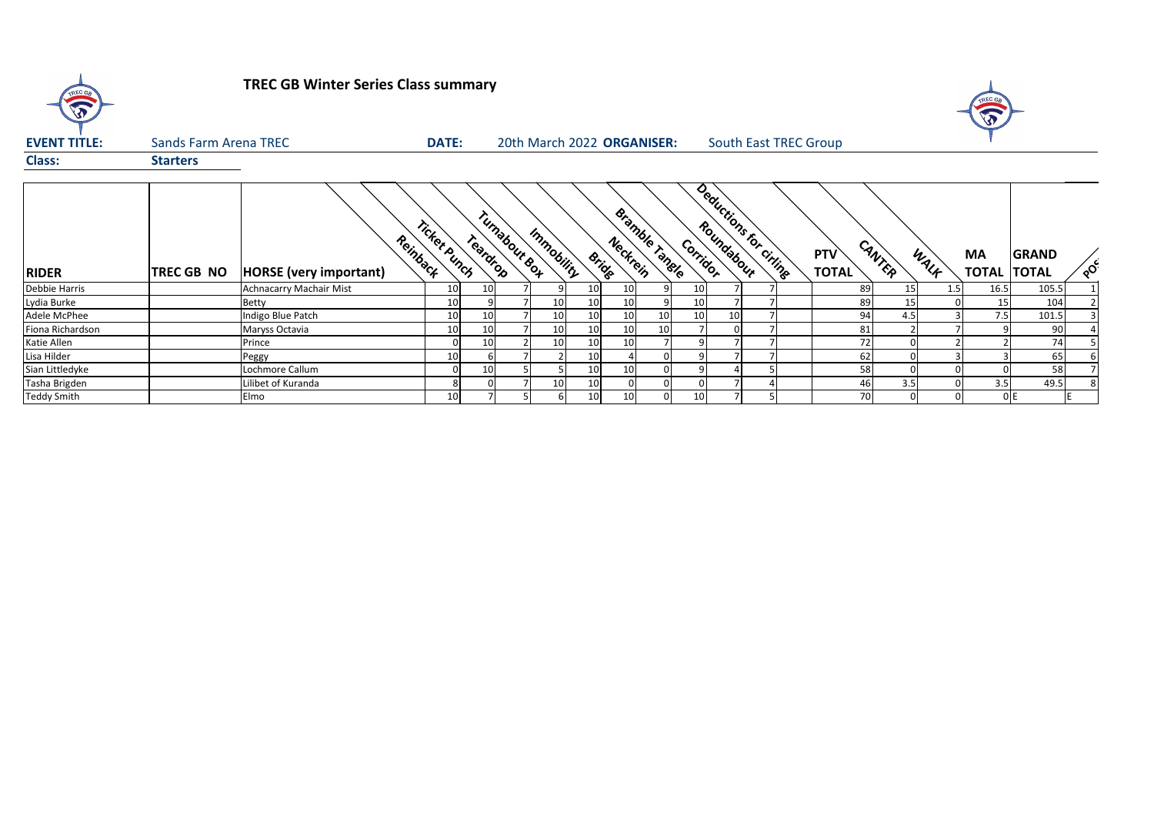

# **TREC GB Winter Series Class summary**

| <b>EVENT TITLE:</b> |                   | <b>Sands Farm Arena TREC</b>              |              | <b>DATE:</b> | 20th March 2022 ORGANISER: |                 |    |                    |                |                 |                 | <b>South East TREC Group</b> |                     |        |      |                           |                              |          |
|---------------------|-------------------|-------------------------------------------|--------------|--------------|----------------------------|-----------------|----|--------------------|----------------|-----------------|-----------------|------------------------------|---------------------|--------|------|---------------------------|------------------------------|----------|
| <b>Class:</b>       | <b>Starters</b>   |                                           |              |              |                            |                 |    |                    |                |                 |                 |                              |                     |        |      |                           |                              |          |
| <b>RIDER</b>        | <b>TREC GB NO</b> | Reinback<br><b>HORSE</b> (very important) | Ticket Punch | Teardrop     | Turnabout Box              | Immobility      |    | Neckrein<br>Bridge | Bramble Tangle | Corridor        |                 | Deductions for ciringe       | PTV<br><b>TOTAL</b> | CANTER | WALK | <b>MA</b><br><b>TOTAL</b> | <b>GRAND</b><br><b>TOTAL</b> | $\delta$ |
| Debbie Harris       |                   | Achnacarry Machair Mist                   |              | 10           |                            |                 |    | 10                 |                | 10 <sup>1</sup> |                 |                              | 89                  | 15     | 1.5  | 16.5                      | 105.5                        |          |
| Lydia Burke         |                   | <b>Betty</b>                              |              |              |                            | 10 <sub>l</sub> |    | 10                 |                | 10 <sup>1</sup> |                 |                              | 89                  | 15     |      | 15                        | 104                          |          |
| Adele McPhee        |                   | ndigo Blue Patch                          |              | 10           |                            | 10              |    | 10                 | 10             | 10              | 10 <sub>l</sub> |                              | 94                  | 4.5    |      | 7.5                       | 101.5                        |          |
| Fiona Richardson    |                   | Maryss Octavia                            |              | 10           |                            | 10              |    | 10                 | 10             |                 |                 |                              | 81                  |        |      |                           | 90                           |          |
| Katie Allen         |                   | Prince                                    |              | 10           |                            | 10              | 10 | 10                 |                |                 |                 |                              | 72                  |        |      |                           | 74                           |          |
| Lisa Hilder         |                   | Peggy                                     |              |              |                            |                 |    |                    | 0              |                 |                 |                              | 62                  |        |      |                           | 65                           |          |
| Sian Littledyke     |                   | Lochmore Callum                           |              | 10           |                            |                 | 10 | 10                 |                |                 |                 |                              | 58                  |        |      |                           | 58                           |          |
| Tasha Brigden       |                   | Lilibet of Kuranda                        |              |              |                            | 10 <sup>1</sup> |    |                    |                |                 |                 |                              | 46                  | 3.5    |      | 3.5                       | 49.5                         |          |
| Teddy Smith         |                   | Elmo                                      |              |              |                            | h               |    | 10                 | 0              | 10              |                 |                              | 70                  |        |      |                           | 0 E                          |          |